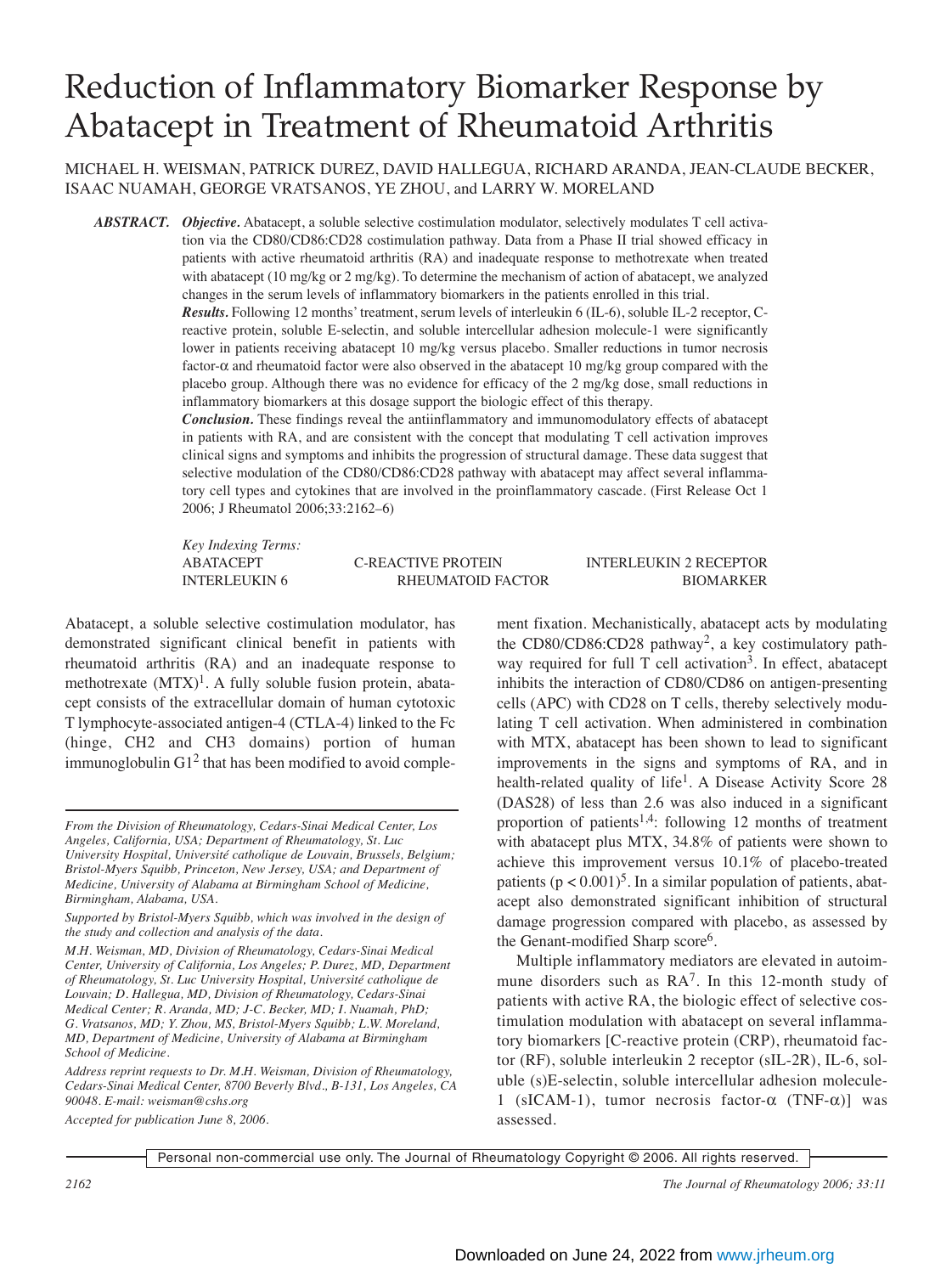# Reduction of Inflammatory Biomarker Response by Abatacept in Treatment of Rheumatoid Arthritis

MICHAEL H. WEISMAN, PATRICK DUREZ, DAVID HALLEGUA, RICHARD ARANDA, JEAN-CLAUDE BECKER, ISAAC NUAMAH, GEORGE VRATSANOS, YE ZHOU, and LARRY W. MORELAND

*ABSTRACT. Objective.* Abatacept, a soluble selective costimulation modulator, selectively modulates T cell activation via the CD80/CD86:CD28 costimulation pathway. Data from a Phase II trial showed efficacy in patients with active rheumatoid arthritis (RA) and inadequate response to methotrexate when treated with abatacept (10 mg/kg or 2 mg/kg). To determine the mechanism of action of abatacept, we analyzed changes in the serum levels of inflammatory biomarkers in the patients enrolled in this trial.

*Results.* Following 12 months' treatment, serum levels of interleukin 6 (IL-6), soluble IL-2 receptor, Creactive protein, soluble E-selectin, and soluble intercellular adhesion molecule-1 were significantly lower in patients receiving abatacept 10 mg/kg versus placebo. Smaller reductions in tumor necrosis factor-α and rheumatoid factor were also observed in the abatacept 10 mg/kg group compared with the placebo group. Although there was no evidence for efficacy of the 2 mg/kg dose, small reductions in inflammatory biomarkers at this dosage support the biologic effect of this therapy.

*Conclusion.* These findings reveal the antiinflammatory and immunomodulatory effects of abatacept in patients with RA, and are consistent with the concept that modulating T cell activation improves clinical signs and symptoms and inhibits the progression of structural damage. These data suggest that selective modulation of the CD80/CD86:CD28 pathway with abatacept may affect several inflammatory cell types and cytokines that are involved in the proinflammatory cascade. (First Release Oct 1 2006; J Rheumatol 2006;33:2162–6)

*Key Indexing Terms:*

#### ABATACEPT C-REACTIVE PROTEIN INTERLEUKIN 2 RECEPTOR INTERLEUKIN 6 RHEUMATOID FACTOR BIOMARKER

Abatacept, a soluble selective costimulation modulator, has demonstrated significant clinical benefit in patients with rheumatoid arthritis (RA) and an inadequate response to methotrexate  $(MTX)^{1}$ . A fully soluble fusion protein, abatacept consists of the extracellular domain of human cytotoxic T lymphocyte-associated antigen-4 (CTLA-4) linked to the Fc (hinge, CH2 and CH3 domains) portion of human immunoglobulin  $G1<sup>2</sup>$  that has been modified to avoid comple-

*Accepted for publication June 8, 2006.*

ment fixation. Mechanistically, abatacept acts by modulating the CD80/CD86:CD28 pathway<sup>2</sup>, a key costimulatory pathway required for full  $T$  cell activation<sup>3</sup>. In effect, abatacept inhibits the interaction of CD80/CD86 on antigen-presenting cells (APC) with CD28 on T cells, thereby selectively modulating T cell activation. When administered in combination with MTX, abatacept has been shown to lead to significant improvements in the signs and symptoms of RA, and in health-related quality of life<sup>1</sup>. A Disease Activity Score 28 (DAS28) of less than 2.6 was also induced in a significant proportion of patients<sup>1,4</sup>: following 12 months of treatment with abatacept plus MTX, 34.8% of patients were shown to achieve this improvement versus 10.1% of placebo-treated patients ( $p < 0.001$ )<sup>5</sup>. In a similar population of patients, abatacept also demonstrated significant inhibition of structural damage progression compared with placebo, as assessed by the Genant-modified Sharp score<sup>6</sup>.

Multiple inflammatory mediators are elevated in autoimmune disorders such as  $RA<sup>7</sup>$ . In this 12-month study of patients with active RA, the biologic effect of selective costimulation modulation with abatacept on several inflammatory biomarkers [C-reactive protein (CRP), rheumatoid factor (RF), soluble interleukin 2 receptor (sIL-2R), IL-6, soluble (s)E-selectin, soluble intercellular adhesion molecule-1 (sICAM-1), tumor necrosis factor- $\alpha$  (TNF- $\alpha$ )] was assessed.

Personal non-commercial use only. The Journal of Rheumatology Copyright © 2006. All rights reserved.

*From the Division of Rheumatology, Cedars-Sinai Medical Center, Los Angeles, California, USA; Department of Rheumatology, St. Luc University Hospital, Université catholique de Louvain, Brussels, Belgium; Bristol-Myers Squibb, Princeton, New Jersey, USA; and Department of Medicine, University of Alabama at Birmingham School of Medicine, Birmingham, Alabama, USA.*

*Supported by Bristol-Myers Squibb, which was involved in the design of the study and collection and analysis of the data.*

*M.H. Weisman, MD, Division of Rheumatology, Cedars-Sinai Medical Center, University of California, Los Angeles; P. Durez, MD, Department of Rheumatology, St. Luc University Hospital, Université catholique de Louvain; D. Hallegua, MD, Division of Rheumatology, Cedars-Sinai Medical Center; R. Aranda, MD; J-C. Becker, MD; I. Nuamah, PhD; G. Vratsanos, MD; Y. Zhou, MS, Bristol-Myers Squibb; L.W. Moreland, MD, Department of Medicine, University of Alabama at Birmingham School of Medicine.*

*Address reprint requests to Dr. M.H. Weisman, Division of Rheumatology, Cedars-Sinai Medical Center, 8700 Beverly Blvd., B-131, Los Angeles, CA 90048. E-mail: weisman@cshs.org*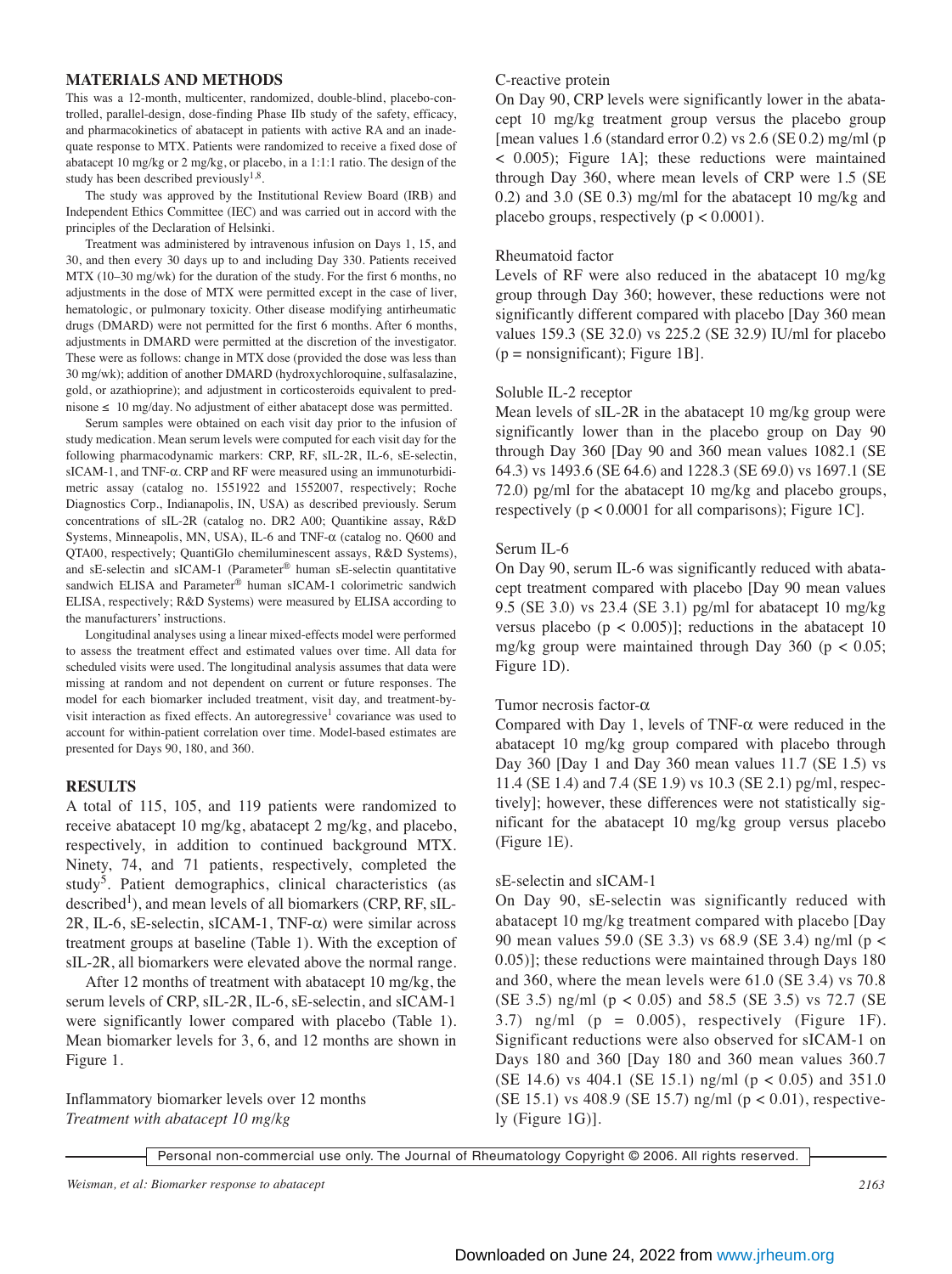#### **MATERIALS AND METHODS**

This was a 12-month, multicenter, randomized, double-blind, placebo-controlled, parallel-design, dose-finding Phase IIb study of the safety, efficacy, and pharmacokinetics of abatacept in patients with active RA and an inadequate response to MTX. Patients were randomized to receive a fixed dose of abatacept 10 mg/kg or 2 mg/kg, or placebo, in a 1:1:1 ratio. The design of the study has been described previously $1,8$ .

The study was approved by the Institutional Review Board (IRB) and Independent Ethics Committee (IEC) and was carried out in accord with the principles of the Declaration of Helsinki.

Treatment was administered by intravenous infusion on Days 1, 15, and 30, and then every 30 days up to and including Day 330. Patients received MTX (10–30 mg/wk) for the duration of the study. For the first 6 months, no adjustments in the dose of MTX were permitted except in the case of liver, hematologic, or pulmonary toxicity. Other disease modifying antirheumatic drugs (DMARD) were not permitted for the first 6 months. After 6 months, adjustments in DMARD were permitted at the discretion of the investigator. These were as follows: change in MTX dose (provided the dose was less than 30 mg/wk); addition of another DMARD (hydroxychloroquine, sulfasalazine, gold, or azathioprine); and adjustment in corticosteroids equivalent to prednisone ≤ 10 mg/day. No adjustment of either abatacept dose was permitted.

Serum samples were obtained on each visit day prior to the infusion of study medication. Mean serum levels were computed for each visit day for the following pharmacodynamic markers: CRP, RF, sIL-2R, IL-6, sE-selectin, sICAM-1, and TNF-α. CRP and RF were measured using an immunoturbidimetric assay (catalog no. 1551922 and 1552007, respectively; Roche Diagnostics Corp., Indianapolis, IN, USA) as described previously. Serum concentrations of sIL-2R (catalog no. DR2 A00; Quantikine assay, R&D Systems, Minneapolis, MN, USA), IL-6 and TNF-α (catalog no. Q600 and QTA00, respectively; QuantiGlo chemiluminescent assays, R&D Systems), and sE-selectin and sICAM-1 (Parameter® human sE-selectin quantitative sandwich ELISA and Parameter® human sICAM-1 colorimetric sandwich ELISA, respectively; R&D Systems) were measured by ELISA according to the manufacturers' instructions.

Longitudinal analyses using a linear mixed-effects model were performed to assess the treatment effect and estimated values over time. All data for scheduled visits were used. The longitudinal analysis assumes that data were missing at random and not dependent on current or future responses. The model for each biomarker included treatment, visit day, and treatment-byvisit interaction as fixed effects. An autoregressive<sup>1</sup> covariance was used to account for within-patient correlation over time. Model-based estimates are presented for Days 90, 180, and 360.

#### **RESULTS**

A total of 115, 105, and 119 patients were randomized to receive abatacept 10 mg/kg, abatacept 2 mg/kg, and placebo, respectively, in addition to continued background MTX. Ninety, 74, and 71 patients, respectively, completed the study<sup>5</sup>. Patient demographics, clinical characteristics (as described<sup>1</sup>), and mean levels of all biomarkers (CRP, RF,  $sIL-$ 2R, IL-6, sE-selectin, sICAM-1, TNF-α) were similar across treatment groups at baseline (Table 1). With the exception of sIL-2R, all biomarkers were elevated above the normal range.

After 12 months of treatment with abatacept 10 mg/kg, the serum levels of CRP, sIL-2R, IL-6, sE-selectin, and sICAM-1 were significantly lower compared with placebo (Table 1). Mean biomarker levels for 3, 6, and 12 months are shown in Figure 1.

Inflammatory biomarker levels over 12 months *Treatment with abatacept 10 mg/kg*

#### C-reactive protein

On Day 90, CRP levels were significantly lower in the abatacept 10 mg/kg treatment group versus the placebo group [mean values 1.6 (standard error 0.2) vs 2.6 (SE 0.2) mg/ml (p < 0.005); Figure 1A]; these reductions were maintained through Day 360, where mean levels of CRP were 1.5 (SE 0.2) and 3.0 (SE 0.3) mg/ml for the abatacept 10 mg/kg and placebo groups, respectively ( $p < 0.0001$ ).

#### Rheumatoid factor

Levels of RF were also reduced in the abatacept 10 mg/kg group through Day 360; however, these reductions were not significantly different compared with placebo [Day 360 mean values 159.3 (SE 32.0) vs 225.2 (SE 32.9) IU/ml for placebo  $(p = nonsignificant)$ ; Figure 1B].

# Soluble IL-2 receptor

Mean levels of sIL-2R in the abatacept 10 mg/kg group were significantly lower than in the placebo group on Day 90 through Day 360 [Day 90 and 360 mean values 1082.1 (SE 64.3) vs 1493.6 (SE 64.6) and 1228.3 (SE 69.0) vs 1697.1 (SE 72.0) pg/ml for the abatacept 10 mg/kg and placebo groups, respectively ( $p < 0.0001$  for all comparisons); Figure 1C.

# Serum IL-6

On Day 90, serum IL-6 was significantly reduced with abatacept treatment compared with placebo [Day 90 mean values 9.5 (SE 3.0) vs 23.4 (SE 3.1) pg/ml for abatacept 10 mg/kg versus placebo ( $p < 0.005$ )]; reductions in the abatacept 10 mg/kg group were maintained through Day  $360$  (p < 0.05; Figure 1D).

# Tumor necrosis factor-α

Compared with Day 1, levels of TNF- $\alpha$  were reduced in the abatacept 10 mg/kg group compared with placebo through Day 360 [Day 1 and Day 360 mean values 11.7 (SE 1.5) vs 11.4 (SE 1.4) and 7.4 (SE 1.9) vs 10.3 (SE 2.1) pg/ml, respectively]; however, these differences were not statistically significant for the abatacept 10 mg/kg group versus placebo (Figure 1E).

# sE-selectin and sICAM-1

On Day 90, sE-selectin was significantly reduced with abatacept 10 mg/kg treatment compared with placebo [Day 90 mean values 59.0 (SE 3.3) vs 68.9 (SE 3.4) ng/ml (p < 0.05)]; these reductions were maintained through Days 180 and 360, where the mean levels were 61.0 (SE 3.4) vs 70.8 (SE 3.5) ng/ml (p < 0.05) and 58.5 (SE 3.5) vs 72.7 (SE 3.7) ng/ml  $(p = 0.005)$ , respectively (Figure 1F). Significant reductions were also observed for sICAM-1 on Days 180 and 360 [Day 180 and 360 mean values 360.7 (SE 14.6) vs 404.1 (SE 15.1) ng/ml ( $p < 0.05$ ) and 351.0 (SE 15.1) vs 408.9 (SE 15.7) ng/ml ( $p < 0.01$ ), respectively (Figure 1G)].

Personal non-commercial use only. The Journal of Rheumatology Copyright © 2006. All rights reserved.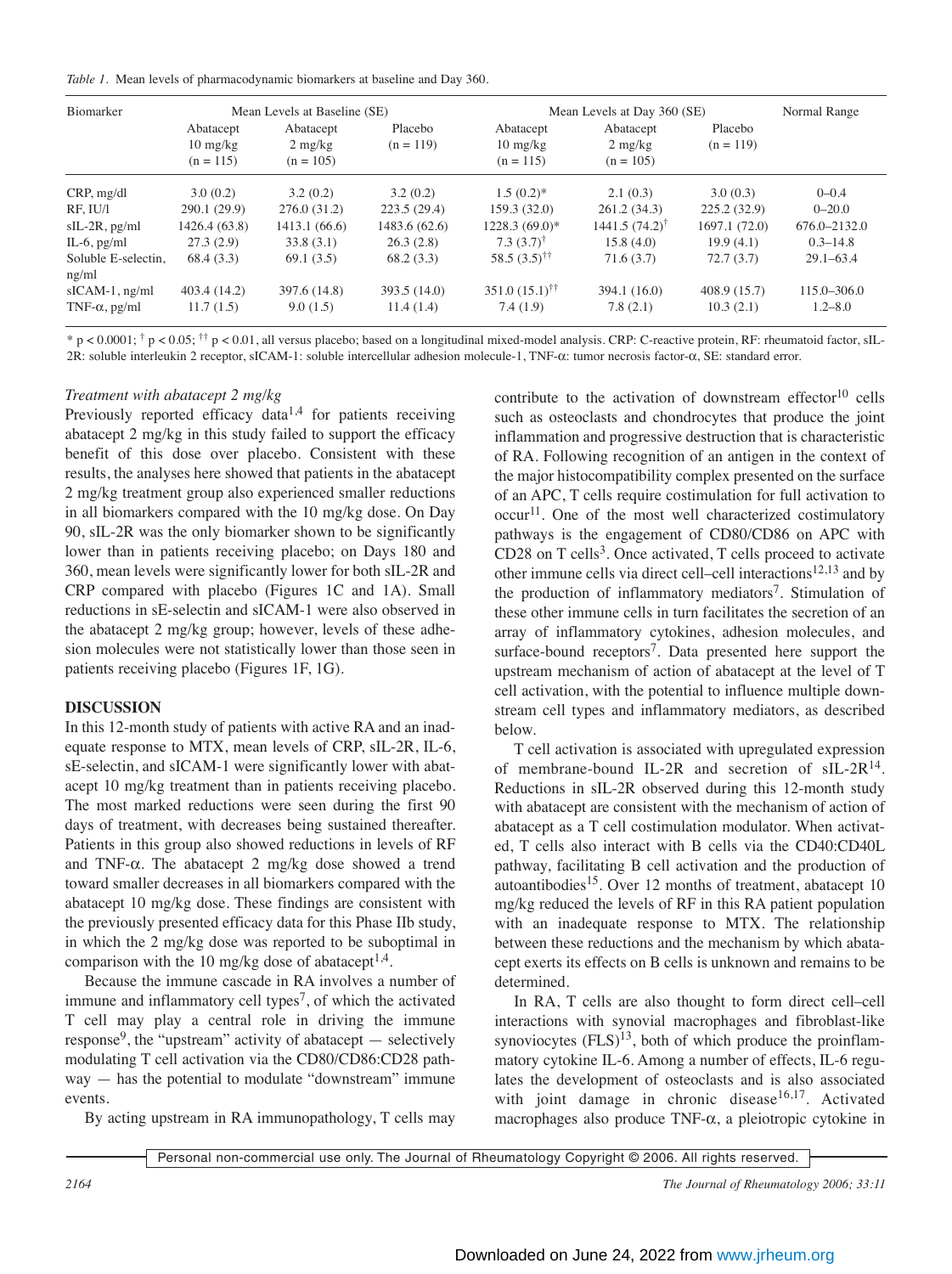|  |  |  |  |  |  | Table 1. Mean levels of pharmacodynamic biomarkers at baseline and Day 360. |  |  |  |  |  |
|--|--|--|--|--|--|-----------------------------------------------------------------------------|--|--|--|--|--|
|--|--|--|--|--|--|-----------------------------------------------------------------------------|--|--|--|--|--|

| <b>Biomarker</b>             |                                                | Mean Levels at Baseline (SE)                  |                        | Mean Levels at Day 360 (SE)                    | Normal Range                                  |                        |                 |  |
|------------------------------|------------------------------------------------|-----------------------------------------------|------------------------|------------------------------------------------|-----------------------------------------------|------------------------|-----------------|--|
|                              | Abatacept<br>$10 \text{ mg/kg}$<br>$(n = 115)$ | Abatacept<br>$2 \text{ mg/kg}$<br>$(n = 105)$ | Placebo<br>$(n = 119)$ | Abatacept<br>$10 \text{ mg/kg}$<br>$(n = 115)$ | Abatacept<br>$2 \text{ mg/kg}$<br>$(n = 105)$ | Placebo<br>$(n = 119)$ |                 |  |
| CRP, mg/dl                   | 3.0(0.2)                                       | 3.2(0.2)                                      | 3.2(0.2)               | $1.5(0.2)$ *                                   | 2.1(0.3)                                      | 3.0(0.3)               | $0 - 0.4$       |  |
| RF. IU/I                     | 290.1 (29.9)                                   | 276.0(31.2)                                   | 223.5(29.4)            | 159.3(32.0)                                    | 261.2(34.3)                                   | 225.2(32.9)            | $0 - 20.0$      |  |
| $sIL-2R$ , $pg/ml$           | 1426.4 (63.8)                                  | 1413.1 (66.6)                                 | 1483.6 (62.6)          | 1228.3 (69.0)*                                 | $1441.5(74.2)^{\dagger}$                      | 1697.1(72.0)           | 676.0-2132.0    |  |
| IL-6, $pg/ml$                | 27.3(2.9)                                      | 33.8(3.1)                                     | 26.3(2.8)              | $7.3(3.7)^{\dagger}$                           | 15.8(4.0)                                     | 19.9(4.1)              | $0.3 - 14.8$    |  |
| Soluble E-selectin.<br>ng/ml | 68.4 (3.3)                                     | 69.1(3.5)                                     | 68.2(3.3)              | 58.5 $(3.5)$ <sup>††</sup>                     | 71.6(3.7)                                     | 72.7(3.7)              | $29.1 - 63.4$   |  |
| $sICAM-1$ , ng/ml            | 403.4 (14.2)                                   | 397.6 (14.8)                                  | 393.5 (14.0)           | $351.0 (15.1)$ <sup>††</sup>                   | 394.1(16.0)                                   | 408.9(15.7)            | $115.0 - 306.0$ |  |
| TNF- $\alpha$ , pg/ml        | 11.7(1.5)                                      | 9.0(1.5)                                      | 11.4(1.4)              | 7.4(1.9)                                       | 7.8(2.1)                                      | 10.3(2.1)              | $1.2 - 8.0$     |  |

 $* p < 0.0001$ ;  $\dagger p < 0.05$ ;  $\dagger \dagger p < 0.01$ , all versus placebo; based on a longitudinal mixed-model analysis. CRP: C-reactive protein, RF: rheumatoid factor, sIL-2R: soluble interleukin 2 receptor, sICAM-1: soluble intercellular adhesion molecule-1, TNF-α: tumor necrosis factor-α, SE: standard error.

# *Treatment with abatacept 2 mg/kg*

Previously reported efficacy data<sup> $1,4$ </sup> for patients receiving abatacept 2 mg/kg in this study failed to support the efficacy benefit of this dose over placebo. Consistent with these results, the analyses here showed that patients in the abatacept 2 mg/kg treatment group also experienced smaller reductions in all biomarkers compared with the 10 mg/kg dose. On Day 90, sIL-2R was the only biomarker shown to be significantly lower than in patients receiving placebo; on Days 180 and 360, mean levels were significantly lower for both sIL-2R and CRP compared with placebo (Figures 1C and 1A). Small reductions in sE-selectin and sICAM-1 were also observed in the abatacept 2 mg/kg group; however, levels of these adhesion molecules were not statistically lower than those seen in patients receiving placebo (Figures 1F, 1G).

# **DISCUSSION**

In this 12-month study of patients with active RA and an inadequate response to MTX, mean levels of CRP, sIL-2R, IL-6, sE-selectin, and sICAM-1 were significantly lower with abatacept 10 mg/kg treatment than in patients receiving placebo. The most marked reductions were seen during the first 90 days of treatment, with decreases being sustained thereafter. Patients in this group also showed reductions in levels of RF and TNF-α. The abatacept 2 mg/kg dose showed a trend toward smaller decreases in all biomarkers compared with the abatacept 10 mg/kg dose. These findings are consistent with the previously presented efficacy data for this Phase IIb study, in which the 2 mg/kg dose was reported to be suboptimal in comparison with the 10 mg/kg dose of abatacept<sup>1,4</sup>.

Because the immune cascade in RA involves a number of immune and inflammatory cell types<sup>7</sup>, of which the activated T cell may play a central role in driving the immune response<sup>9</sup>, the "upstream" activity of abatacept  $-$  selectively modulating T cell activation via the CD80/CD86:CD28 pathway — has the potential to modulate "downstream" immune events.

By acting upstream in RA immunopathology, T cells may

contribute to the activation of downstream effector<sup>10</sup> cells such as osteoclasts and chondrocytes that produce the joint inflammation and progressive destruction that is characteristic of RA. Following recognition of an antigen in the context of the major histocompatibility complex presented on the surface of an APC, T cells require costimulation for full activation to occur<sup>11</sup>. One of the most well characterized costimulatory pathways is the engagement of CD80/CD86 on APC with CD28 on T cells<sup>3</sup>. Once activated, T cells proceed to activate other immune cells via direct cell–cell interactions<sup>12,13</sup> and by the production of inflammatory mediators<sup>7</sup>. Stimulation of these other immune cells in turn facilitates the secretion of an array of inflammatory cytokines, adhesion molecules, and surface-bound receptors<sup>7</sup>. Data presented here support the upstream mechanism of action of abatacept at the level of T cell activation, with the potential to influence multiple downstream cell types and inflammatory mediators, as described below.

T cell activation is associated with upregulated expression of membrane-bound IL-2R and secretion of  $sIL-2R^{14}$ . Reductions in sIL-2R observed during this 12-month study with abatacept are consistent with the mechanism of action of abatacept as a T cell costimulation modulator. When activated, T cells also interact with B cells via the CD40:CD40L pathway, facilitating B cell activation and the production of autoantibodies<sup>15</sup>. Over 12 months of treatment, abatacept 10 mg/kg reduced the levels of RF in this RA patient population with an inadequate response to MTX. The relationship between these reductions and the mechanism by which abatacept exerts its effects on B cells is unknown and remains to be determined.

In RA, T cells are also thought to form direct cell–cell interactions with synovial macrophages and fibroblast-like synoviocytes  $(FLS)^{13}$ , both of which produce the proinflammatory cytokine IL-6. Among a number of effects, IL-6 regulates the development of osteoclasts and is also associated with joint damage in chronic disease<sup>16,17</sup>. Activated macrophages also produce TNF-α, a pleiotropic cytokine in

Personal non-commercial use only. The Journal of Rheumatology Copyright © 2006. All rights reserved.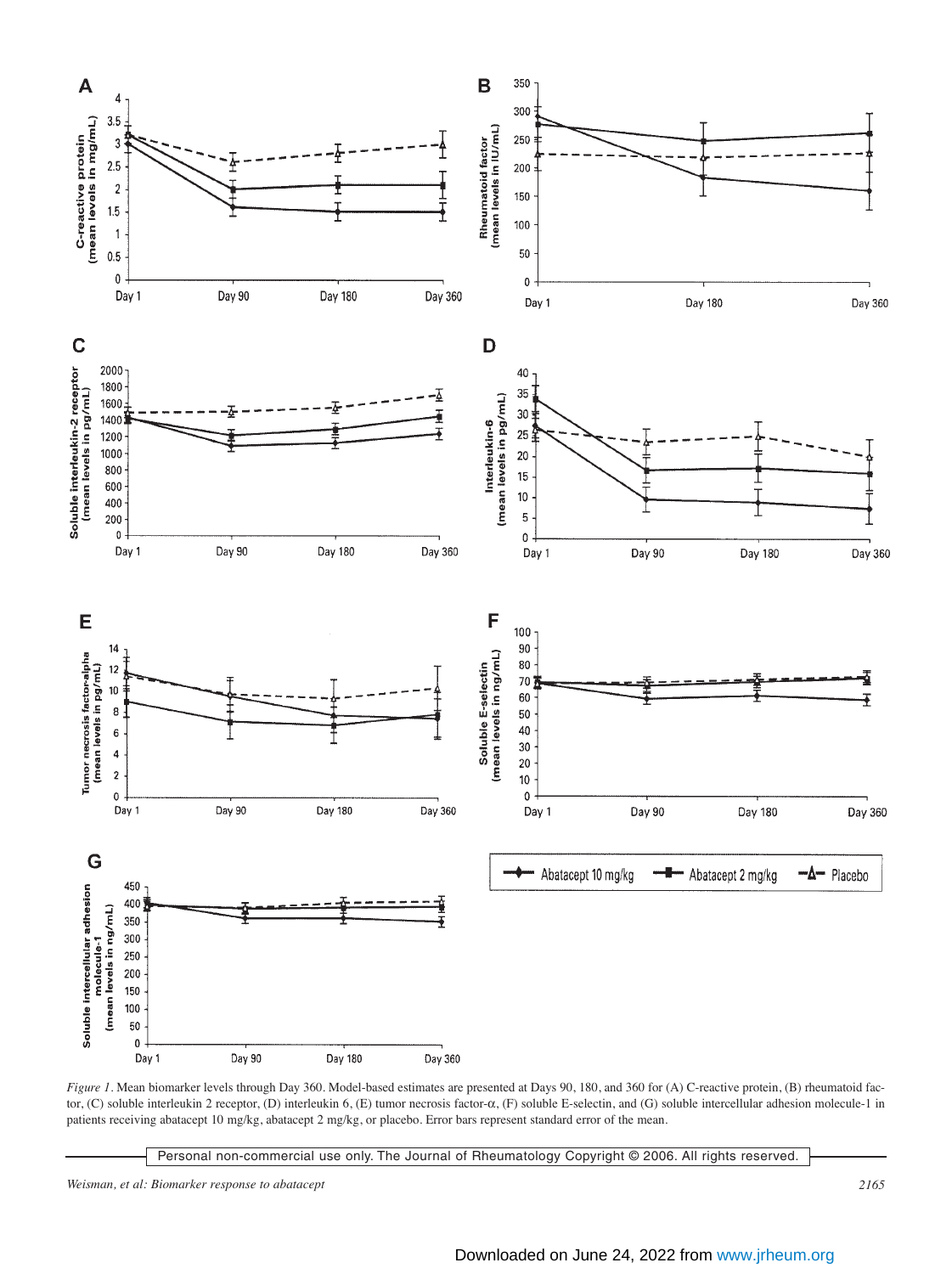

*Figure 1*. Mean biomarker levels through Day 360. Model-based estimates are presented at Days 90, 180, and 360 for (A) C-reactive protein, (B) rheumatoid factor, (C) soluble interleukin 2 receptor, (D) interleukin 6, (E) tumor necrosis factor-α, (F) soluble E-selectin, and (G) soluble intercellular adhesion molecule-1 in patients receiving abatacept 10 mg/kg, abatacept 2 mg/kg, or placebo. Error bars represent standard error of the mean.

Personal non-commercial use only. The Journal of Rheumatology Copyright © 2006. All rights reserved.

*Weisman, et al: Biomarker response to abatacept 2165*